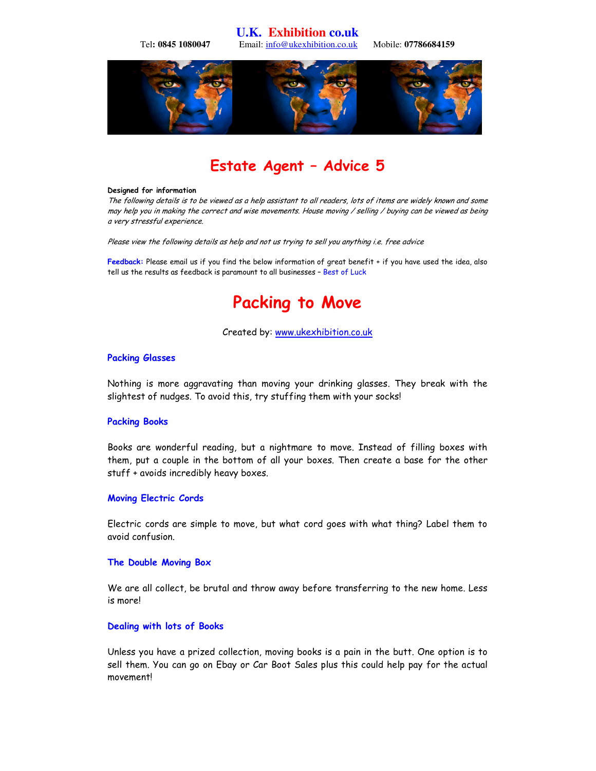**U.K. Exhibition co.uk**  Tel**: 0845 1080047** Email: info@ukexhibition.co.uk Mobile: **07786684159** 



## Estate Agent – Advice 5

#### Designed for information

The following details is to be viewed as a help assistant to all readers, lots of items are widely known and some may help you in making the correct and wise movements. House moving / selling / buying can be viewed as being a very stressful experience.

Please view the following details as help and not us trying to sell you anything i.e. free advice

Feedback: Please email us if you find the below information of great benefit + if you have used the idea, also tell us the results as feedback is paramount to all businesses – Best of Luck

# Packing to Move

## Created by: www.ukexhibition.co.uk

## Packing Glasses

Nothing is more aggravating than moving your drinking glasses. They break with the slightest of nudges. To avoid this, try stuffing them with your socks!

## Packing Books

Books are wonderful reading, but a nightmare to move. Instead of filling boxes with them, put a couple in the bottom of all your boxes. Then create a base for the other stuff + avoids incredibly heavy boxes.

## Moving Electric Cords

Electric cords are simple to move, but what cord goes with what thing? Label them to avoid confusion.

## The Double Moving Box

We are all collect, be brutal and throw away before transferring to the new home. Less is more!

## Dealing with lots of Books

Unless you have a prized collection, moving books is a pain in the butt. One option is to sell them. You can go on Ebay or Car Boot Sales plus this could help pay for the actual movement!